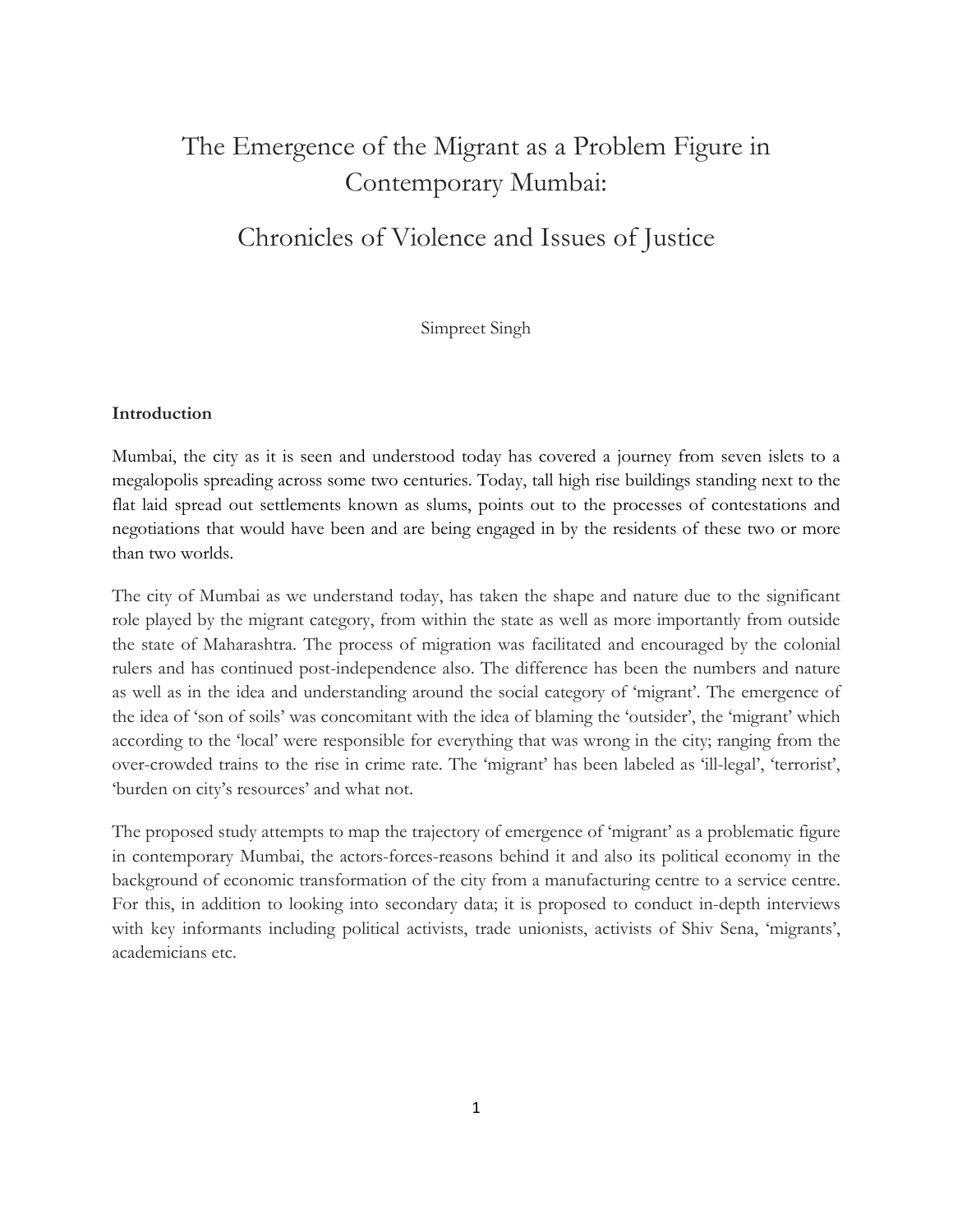# The Emergence of the Migrant as a Problem Figure in Contemporary Mumbai:

## Chronicles of Violence and Issues of Justice

Simpreet Singh

## Introduction

Mumbai, the city as it is seen and understood today has covered a journey from seven islets to a megalopolis spreading across some two centuries. Today, tall high rise buildings standing next to the flat laid spread out settlements known as slums, points out to the processes of contestations and negotiations that would have been and are being engaged in by the residents of these two or more than two worlds.

The city of Mumbai as we understand today, has taken the shape and nature due to the significant role played by the migrant category, from within the state as well as more importantly from outside the state of Maharashtra. The process of migration was facilitated and encouraged by the colonial rulers and has continued post-independence also. The difference has been the numbers and nature as well as in the idea and understanding around the social category of 'migrant'. The emergence of the idea of 'son of soils' was concomitant with the idea of blaming the 'outsider', the 'migrant' which according to the 'local' were responsible for everything that was wrong in the city; ranging from the over-crowded trains to the rise in crime rate. The 'migrant' has been labeled as 'ill-legal', 'terrorist', 'burden on city's resources' and what not.

The proposed study attempts to map the trajectory of emergence of 'migrant' as a problematic figure in contemporary Mumbai, the actors-forces-reasons behind it and also its political economy in the background of economic transformation of the city from a manufacturing centre to a service centre. For this, in addition to looking into secondary data; it is proposed to conduct in-depth interviews with key informants including political activists, trade unionists, activists of Shiv Sena, 'migrants', academicians etc.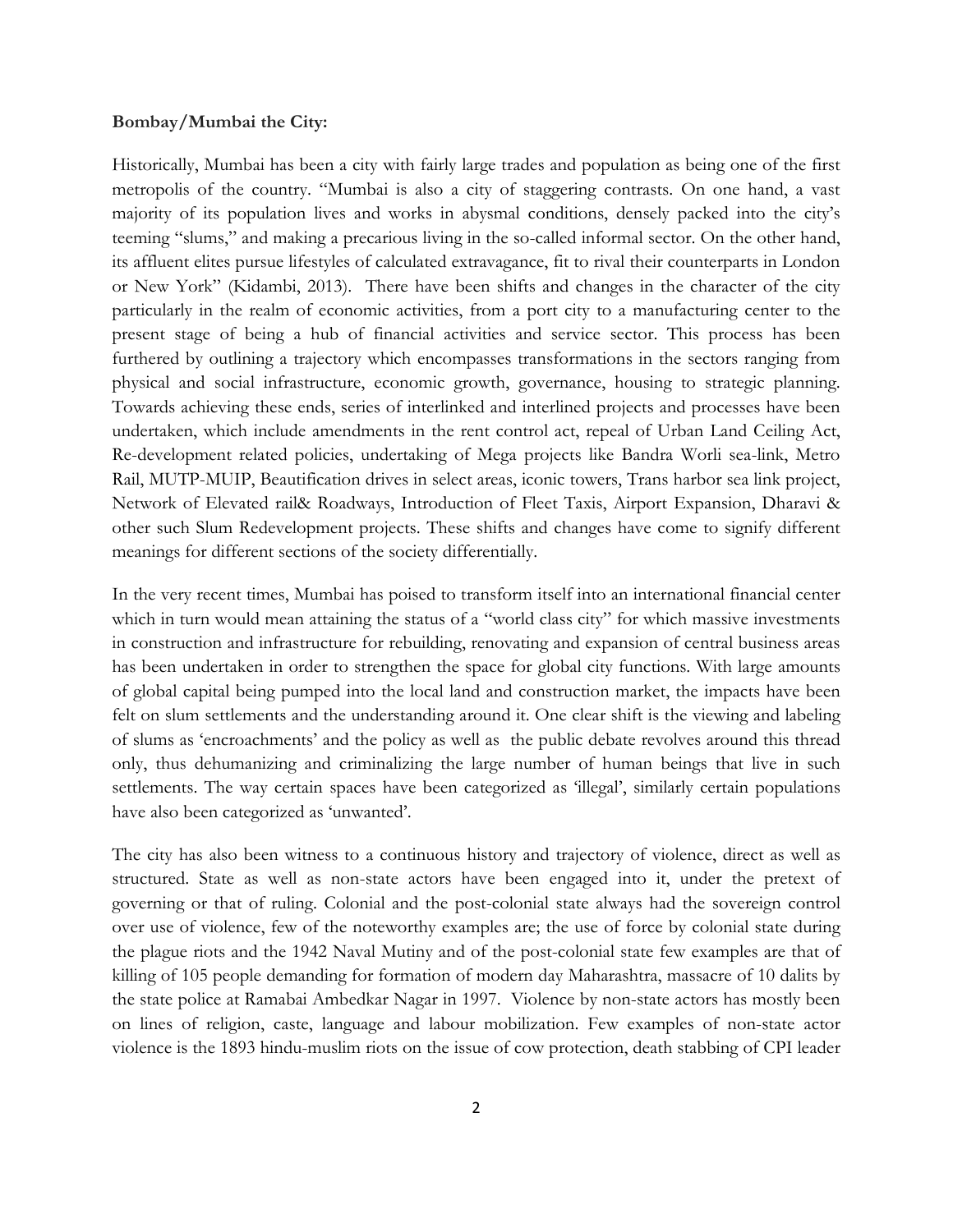#### Bombay/Mumbai the City:

Historically, Mumbai has been a city with fairly large trades and population as being one of the first metropolis of the country. "Mumbai is also a city of staggering contrasts. On one hand, a vast majority of its population lives and works in abysmal conditions, densely packed into the city's teeming "slums," and making a precarious living in the so-called informal sector. On the other hand, its affluent elites pursue lifestyles of calculated extravagance, fit to rival their counterparts in London or New York" (Kidambi, 2013). There have been shifts and changes in the character of the city particularly in the realm of economic activities, from a port city to a manufacturing center to the present stage of being a hub of financial activities and service sector. This process has been furthered by outlining a trajectory which encompasses transformations in the sectors ranging from physical and social infrastructure, economic growth, governance, housing to strategic planning. Towards achieving these ends, series of interlinked and interlined projects and processes have been undertaken, which include amendments in the rent control act, repeal of Urban Land Ceiling Act, Re-development related policies, undertaking of Mega projects like Bandra Worli sea-link, Metro Rail, MUTP-MUIP, Beautification drives in select areas, iconic towers, Trans harbor sea link project, Network of Elevated rail& Roadways, Introduction of Fleet Taxis, Airport Expansion, Dharavi & other such Slum Redevelopment projects. These shifts and changes have come to signify different meanings for different sections of the society differentially.

In the very recent times, Mumbai has poised to transform itself into an international financial center which in turn would mean attaining the status of a "world class city" for which massive investments in construction and infrastructure for rebuilding, renovating and expansion of central business areas has been undertaken in order to strengthen the space for global city functions. With large amounts of global capital being pumped into the local land and construction market, the impacts have been felt on slum settlements and the understanding around it. One clear shift is the viewing and labeling of slums as 'encroachments' and the policy as well as the public debate revolves around this thread only, thus dehumanizing and criminalizing the large number of human beings that live in such settlements. The way certain spaces have been categorized as 'illegal', similarly certain populations have also been categorized as 'unwanted'.

The city has also been witness to a continuous history and trajectory of violence, direct as well as structured. State as well as non-state actors have been engaged into it, under the pretext of governing or that of ruling. Colonial and the post-colonial state always had the sovereign control over use of violence, few of the noteworthy examples are; the use of force by colonial state during the plague riots and the 1942 Naval Mutiny and of the post-colonial state few examples are that of killing of 105 people demanding for formation of modern day Maharashtra, massacre of 10 dalits by the state police at Ramabai Ambedkar Nagar in 1997. Violence by non-state actors has mostly been on lines of religion, caste, language and labour mobilization. Few examples of non-state actor violence is the 1893 hindu-muslim riots on the issue of cow protection, death stabbing of CPI leader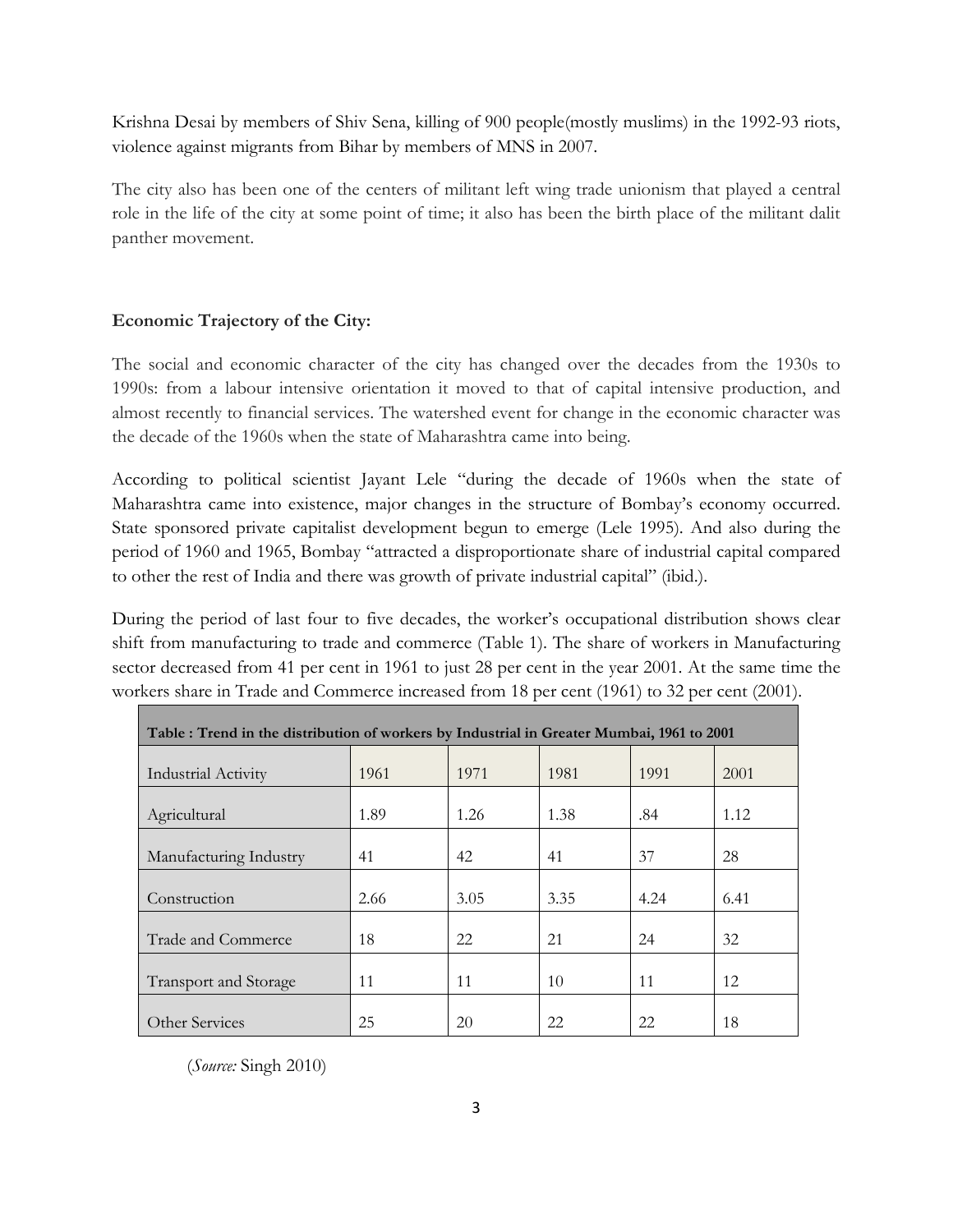Krishna Desai by members of Shiv Sena, killing of 900 people(mostly muslims) in the 1992-93 riots, violence against migrants from Bihar by members of MNS in 2007.

The city also has been one of the centers of militant left wing trade unionism that played a central role in the life of the city at some point of time; it also has been the birth place of the militant dalit panther movement.

## Economic Trajectory of the City:

The social and economic character of the city has changed over the decades from the 1930s to 1990s: from a labour intensive orientation it moved to that of capital intensive production, and almost recently to financial services. The watershed event for change in the economic character was the decade of the 1960s when the state of Maharashtra came into being.

According to political scientist Jayant Lele "during the decade of 1960s when the state of Maharashtra came into existence, major changes in the structure of Bombay's economy occurred. State sponsored private capitalist development begun to emerge (Lele 1995). And also during the period of 1960 and 1965, Bombay "attracted a disproportionate share of industrial capital compared to other the rest of India and there was growth of private industrial capital" (ibid.).

During the period of last four to five decades, the worker's occupational distribution shows clear shift from manufacturing to trade and commerce (Table 1). The share of workers in Manufacturing sector decreased from 41 per cent in 1961 to just 28 per cent in the year 2001. At the same time the workers share in Trade and Commerce increased from 18 per cent (1961) to 32 per cent (2001).

| Table : Trend in the distribution of workers by Industrial in Greater Mumbai, 1961 to 2001 |      |      |      |      |      |  |  |
|--------------------------------------------------------------------------------------------|------|------|------|------|------|--|--|
| <b>Industrial Activity</b>                                                                 | 1961 | 1971 | 1981 | 1991 | 2001 |  |  |
| Agricultural                                                                               | 1.89 | 1.26 | 1.38 | .84  | 1.12 |  |  |
| Manufacturing Industry                                                                     | 41   | 42   | 41   | 37   | 28   |  |  |
| Construction                                                                               | 2.66 | 3.05 | 3.35 | 4.24 | 6.41 |  |  |
| Trade and Commerce                                                                         | 18   | 22   | 21   | 24   | 32   |  |  |
| <b>Transport and Storage</b>                                                               | 11   | 11   | 10   | 11   | 12   |  |  |
| Other Services                                                                             | 25   | 20   | 22   | 22   | 18   |  |  |

(Source: Singh 2010)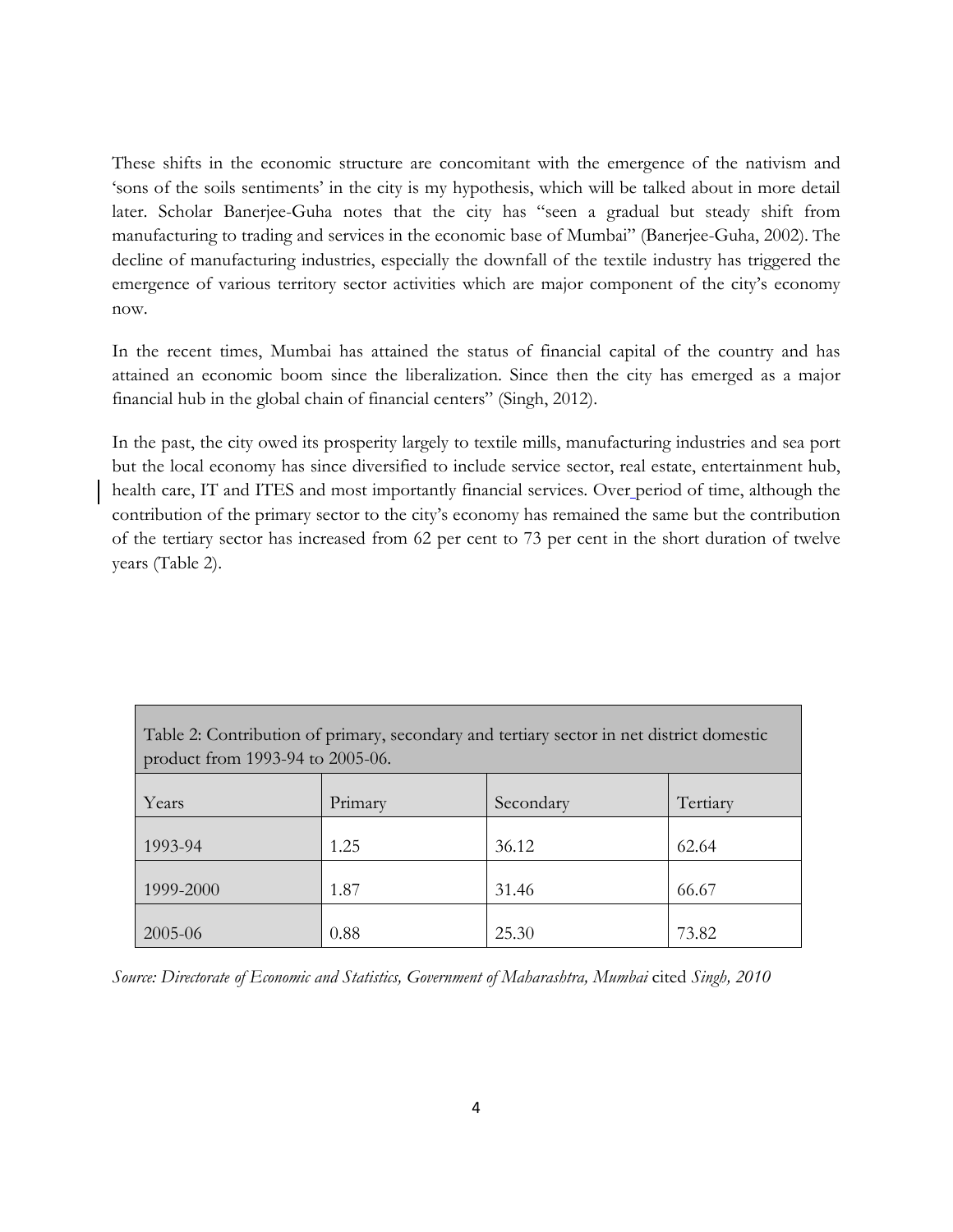These shifts in the economic structure are concomitant with the emergence of the nativism and 'sons of the soils sentiments' in the city is my hypothesis, which will be talked about in more detail later. Scholar Banerjee-Guha notes that the city has "seen a gradual but steady shift from manufacturing to trading and services in the economic base of Mumbai" (Banerjee-Guha, 2002). The decline of manufacturing industries, especially the downfall of the textile industry has triggered the emergence of various territory sector activities which are major component of the city's economy now.

In the recent times, Mumbai has attained the status of financial capital of the country and has attained an economic boom since the liberalization. Since then the city has emerged as a major financial hub in the global chain of financial centers" (Singh, 2012).

In the past, the city owed its prosperity largely to textile mills, manufacturing industries and sea port but the local economy has since diversified to include service sector, real estate, entertainment hub, health care, IT and ITES and most importantly financial services. Over period of time, although the contribution of the primary sector to the city's economy has remained the same but the contribution of the tertiary sector has increased from 62 per cent to 73 per cent in the short duration of twelve years (Table 2).

| Table 2: Contribution of primary, secondary and tertiary sector in net district domestic<br>product from 1993-94 to 2005-06. |         |           |          |  |  |  |
|------------------------------------------------------------------------------------------------------------------------------|---------|-----------|----------|--|--|--|
| Years                                                                                                                        | Primary | Secondary | Tertiary |  |  |  |
| 1993-94                                                                                                                      | 1.25    | 36.12     | 62.64    |  |  |  |
| 1999-2000                                                                                                                    | 1.87    | 31.46     | 66.67    |  |  |  |
| 2005-06                                                                                                                      | 0.88    | 25.30     | 73.82    |  |  |  |

Source: Directorate of Economic and Statistics, Government of Maharashtra, Mumbai cited Singh, 2010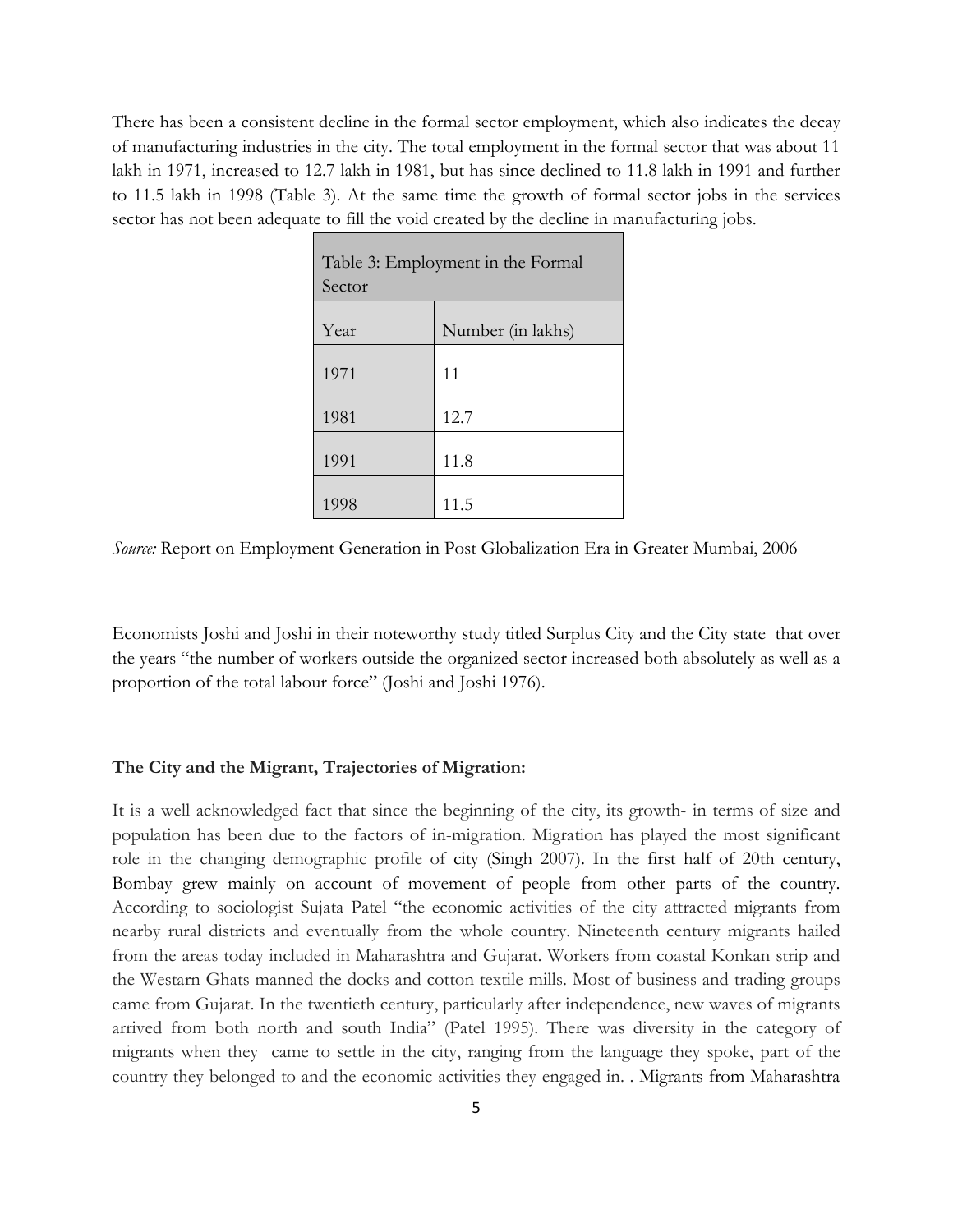There has been a consistent decline in the formal sector employment, which also indicates the decay of manufacturing industries in the city. The total employment in the formal sector that was about 11 lakh in 1971, increased to 12.7 lakh in 1981, but has since declined to 11.8 lakh in 1991 and further to 11.5 lakh in 1998 (Table 3). At the same time the growth of formal sector jobs in the services sector has not been adequate to fill the void created by the decline in manufacturing jobs.

| Table 3: Employment in the Formal<br>Sector |                   |  |  |  |
|---------------------------------------------|-------------------|--|--|--|
| Year                                        | Number (in lakhs) |  |  |  |
| 1971                                        | 11                |  |  |  |
| 1981                                        | 12.7              |  |  |  |
| 1991                                        | 11.8              |  |  |  |
| 1998                                        | 11.5              |  |  |  |

Source: Report on Employment Generation in Post Globalization Era in Greater Mumbai, 2006

Economists Joshi and Joshi in their noteworthy study titled Surplus City and the City state that over the years "the number of workers outside the organized sector increased both absolutely as well as a proportion of the total labour force" (Joshi and Joshi 1976).

## The City and the Migrant, Trajectories of Migration:

It is a well acknowledged fact that since the beginning of the city, its growth- in terms of size and population has been due to the factors of in-migration. Migration has played the most significant role in the changing demographic profile of city (Singh 2007). In the first half of 20th century, Bombay grew mainly on account of movement of people from other parts of the country. According to sociologist Sujata Patel "the economic activities of the city attracted migrants from nearby rural districts and eventually from the whole country. Nineteenth century migrants hailed from the areas today included in Maharashtra and Gujarat. Workers from coastal Konkan strip and the Westarn Ghats manned the docks and cotton textile mills. Most of business and trading groups came from Gujarat. In the twentieth century, particularly after independence, new waves of migrants arrived from both north and south India" (Patel 1995). There was diversity in the category of migrants when they came to settle in the city, ranging from the language they spoke, part of the country they belonged to and the economic activities they engaged in. . Migrants from Maharashtra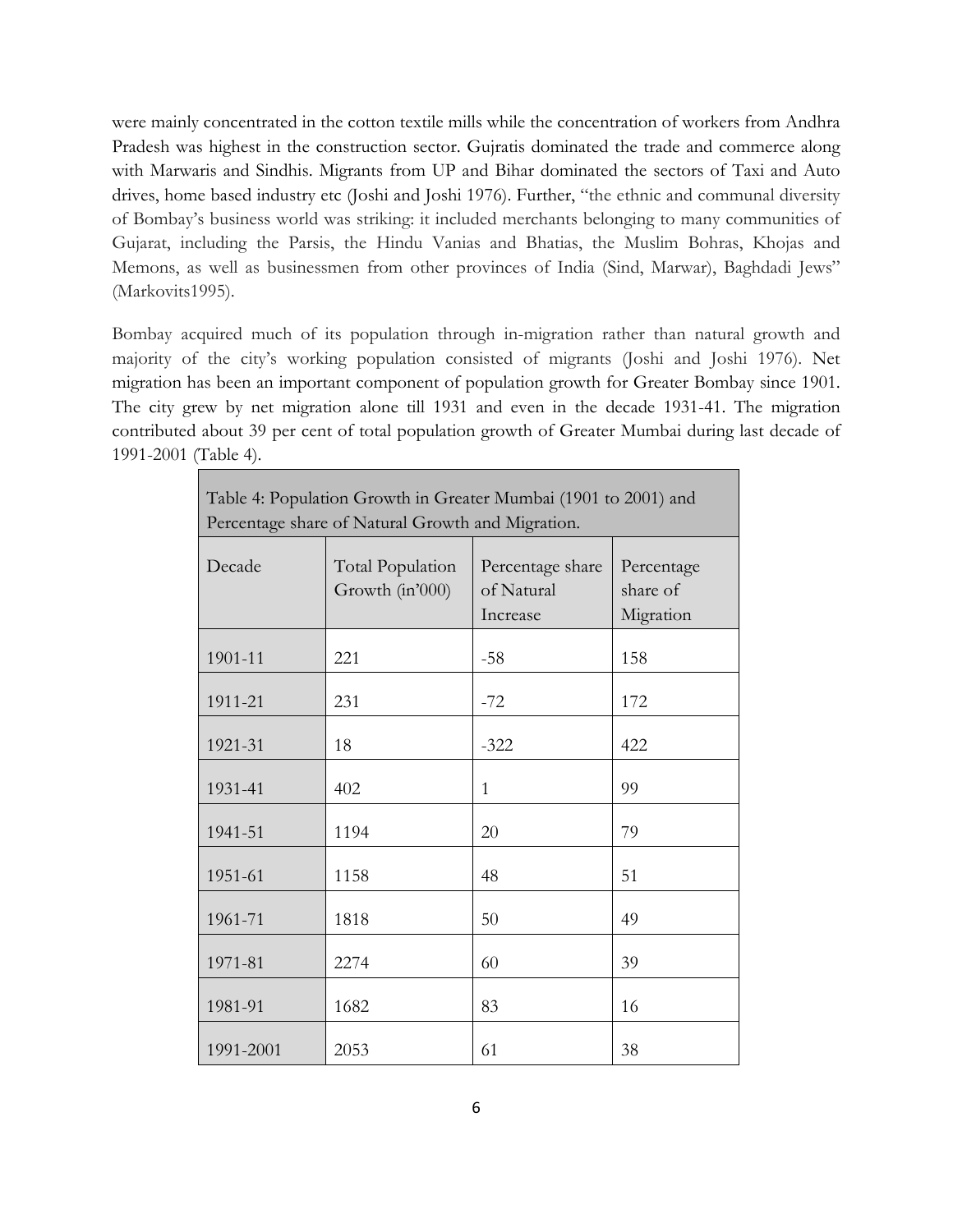were mainly concentrated in the cotton textile mills while the concentration of workers from Andhra Pradesh was highest in the construction sector. Gujratis dominated the trade and commerce along with Marwaris and Sindhis. Migrants from UP and Bihar dominated the sectors of Taxi and Auto drives, home based industry etc (Joshi and Joshi 1976). Further, "the ethnic and communal diversity of Bombay's business world was striking: it included merchants belonging to many communities of Gujarat, including the Parsis, the Hindu Vanias and Bhatias, the Muslim Bohras, Khojas and Memons, as well as businessmen from other provinces of India (Sind, Marwar), Baghdadi Jews" (Markovits1995).

Bombay acquired much of its population through in-migration rather than natural growth and majority of the city's working population consisted of migrants (Joshi and Joshi 1976). Net migration has been an important component of population growth for Greater Bombay since 1901. The city grew by net migration alone till 1931 and even in the decade 1931-41. The migration contributed about 39 per cent of total population growth of Greater Mumbai during last decade of 1991-2001 (Table 4).

| Table 4: Population Growth in Greater Mumbai (1901 to 2001) and<br>Percentage share of Natural Growth and Migration. |                                            |                                            |                                     |  |  |  |
|----------------------------------------------------------------------------------------------------------------------|--------------------------------------------|--------------------------------------------|-------------------------------------|--|--|--|
| Decade                                                                                                               | <b>Total Population</b><br>Growth (in'000) | Percentage share<br>of Natural<br>Increase | Percentage<br>share of<br>Migration |  |  |  |
| 1901-11                                                                                                              | 221                                        | $-58$                                      | 158                                 |  |  |  |
| 1911-21                                                                                                              | 231                                        | $-72$                                      | 172                                 |  |  |  |
| 1921-31                                                                                                              | 18                                         | $-322$                                     | 422                                 |  |  |  |
| 1931-41                                                                                                              | 402                                        | 1                                          | 99                                  |  |  |  |
| 1941-51                                                                                                              | 1194                                       | 20                                         | 79                                  |  |  |  |
| 1951-61                                                                                                              | 1158                                       | 48                                         | 51                                  |  |  |  |
| 1961-71                                                                                                              | 1818                                       | 50                                         | 49                                  |  |  |  |
| 1971-81                                                                                                              | 2274                                       | 60                                         | 39                                  |  |  |  |
| 1981-91                                                                                                              | 1682                                       | 83                                         | 16                                  |  |  |  |
| 1991-2001                                                                                                            | 2053                                       | 61                                         | 38                                  |  |  |  |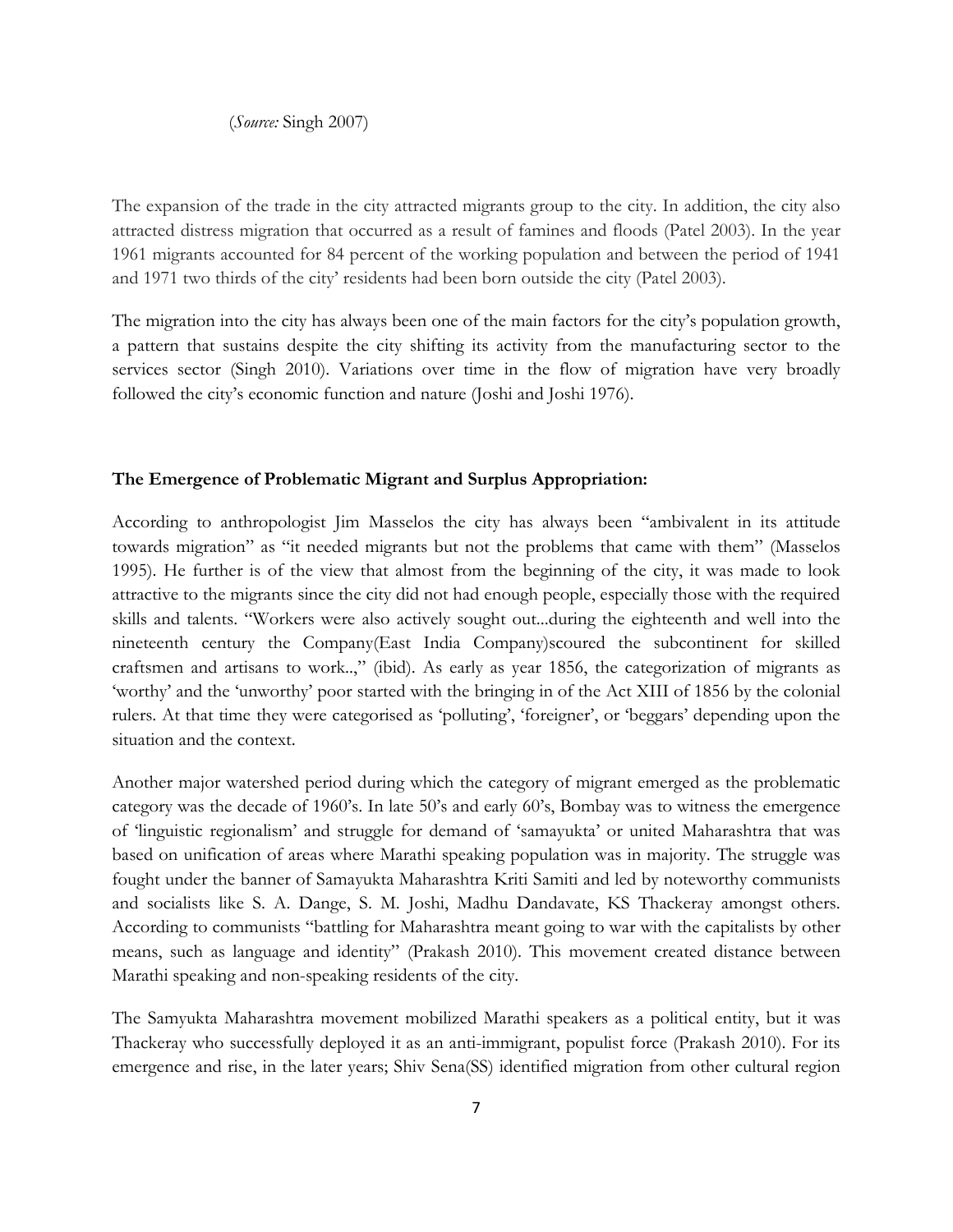(Source: Singh 2007)

The expansion of the trade in the city attracted migrants group to the city. In addition, the city also attracted distress migration that occurred as a result of famines and floods (Patel 2003). In the year 1961 migrants accounted for 84 percent of the working population and between the period of 1941 and 1971 two thirds of the city' residents had been born outside the city (Patel 2003).

The migration into the city has always been one of the main factors for the city's population growth, a pattern that sustains despite the city shifting its activity from the manufacturing sector to the services sector (Singh 2010). Variations over time in the flow of migration have very broadly followed the city's economic function and nature (Joshi and Joshi 1976).

## The Emergence of Problematic Migrant and Surplus Appropriation:

According to anthropologist Jim Masselos the city has always been "ambivalent in its attitude towards migration" as "it needed migrants but not the problems that came with them" (Masselos 1995). He further is of the view that almost from the beginning of the city, it was made to look attractive to the migrants since the city did not had enough people, especially those with the required skills and talents. "Workers were also actively sought out...during the eighteenth and well into the nineteenth century the Company(East India Company)scoured the subcontinent for skilled craftsmen and artisans to work..," (ibid). As early as year 1856, the categorization of migrants as 'worthy' and the 'unworthy' poor started with the bringing in of the Act XIII of 1856 by the colonial rulers. At that time they were categorised as 'polluting', 'foreigner', or 'beggars' depending upon the situation and the context.

Another major watershed period during which the category of migrant emerged as the problematic category was the decade of 1960's. In late 50's and early 60's, Bombay was to witness the emergence of 'linguistic regionalism' and struggle for demand of 'samayukta' or united Maharashtra that was based on unification of areas where Marathi speaking population was in majority. The struggle was fought under the banner of Samayukta Maharashtra Kriti Samiti and led by noteworthy communists and socialists like S. A. Dange, S. M. Joshi, Madhu Dandavate, KS Thackeray amongst others. According to communists "battling for Maharashtra meant going to war with the capitalists by other means, such as language and identity" (Prakash 2010). This movement created distance between Marathi speaking and non-speaking residents of the city.

The Samyukta Maharashtra movement mobilized Marathi speakers as a political entity, but it was Thackeray who successfully deployed it as an anti-immigrant, populist force (Prakash 2010). For its emergence and rise, in the later years; Shiv Sena(SS) identified migration from other cultural region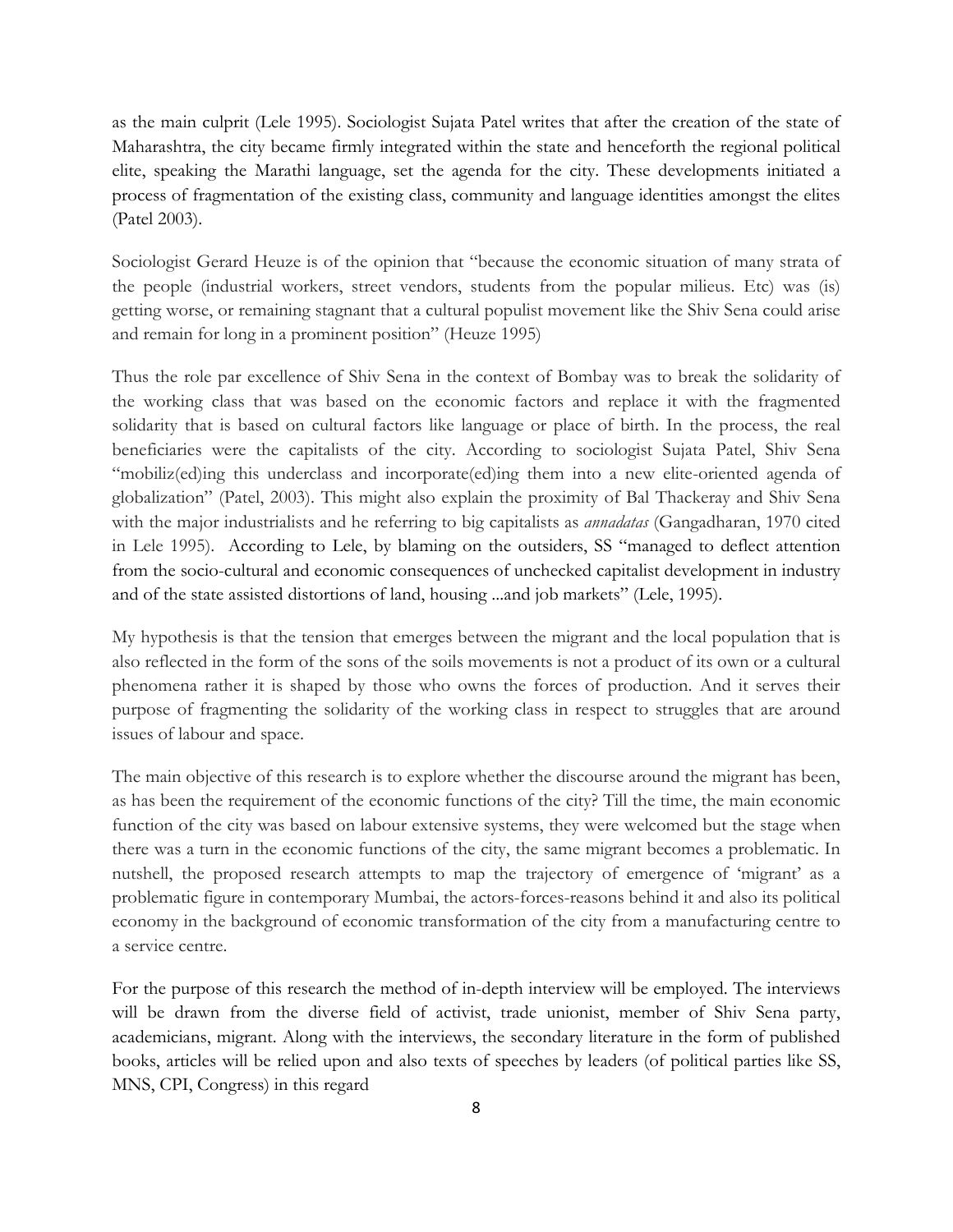as the main culprit (Lele 1995). Sociologist Sujata Patel writes that after the creation of the state of Maharashtra, the city became firmly integrated within the state and henceforth the regional political elite, speaking the Marathi language, set the agenda for the city. These developments initiated a process of fragmentation of the existing class, community and language identities amongst the elites (Patel 2003).

Sociologist Gerard Heuze is of the opinion that "because the economic situation of many strata of the people (industrial workers, street vendors, students from the popular milieus. Etc) was (is) getting worse, or remaining stagnant that a cultural populist movement like the Shiv Sena could arise and remain for long in a prominent position" (Heuze 1995)

Thus the role par excellence of Shiv Sena in the context of Bombay was to break the solidarity of the working class that was based on the economic factors and replace it with the fragmented solidarity that is based on cultural factors like language or place of birth. In the process, the real beneficiaries were the capitalists of the city. According to sociologist Sujata Patel, Shiv Sena "mobiliz(ed)ing this underclass and incorporate(ed)ing them into a new elite-oriented agenda of globalization" (Patel, 2003). This might also explain the proximity of Bal Thackeray and Shiv Sena with the major industrialists and he referring to big capitalists as *annadatas* (Gangadharan, 1970 cited in Lele 1995). According to Lele, by blaming on the outsiders, SS "managed to deflect attention from the socio-cultural and economic consequences of unchecked capitalist development in industry and of the state assisted distortions of land, housing ...and job markets" (Lele, 1995).

My hypothesis is that the tension that emerges between the migrant and the local population that is also reflected in the form of the sons of the soils movements is not a product of its own or a cultural phenomena rather it is shaped by those who owns the forces of production. And it serves their purpose of fragmenting the solidarity of the working class in respect to struggles that are around issues of labour and space.

The main objective of this research is to explore whether the discourse around the migrant has been, as has been the requirement of the economic functions of the city? Till the time, the main economic function of the city was based on labour extensive systems, they were welcomed but the stage when there was a turn in the economic functions of the city, the same migrant becomes a problematic. In nutshell, the proposed research attempts to map the trajectory of emergence of 'migrant' as a problematic figure in contemporary Mumbai, the actors-forces-reasons behind it and also its political economy in the background of economic transformation of the city from a manufacturing centre to a service centre.

For the purpose of this research the method of in-depth interview will be employed. The interviews will be drawn from the diverse field of activist, trade unionist, member of Shiv Sena party, academicians, migrant. Along with the interviews, the secondary literature in the form of published books, articles will be relied upon and also texts of speeches by leaders (of political parties like SS, MNS, CPI, Congress) in this regard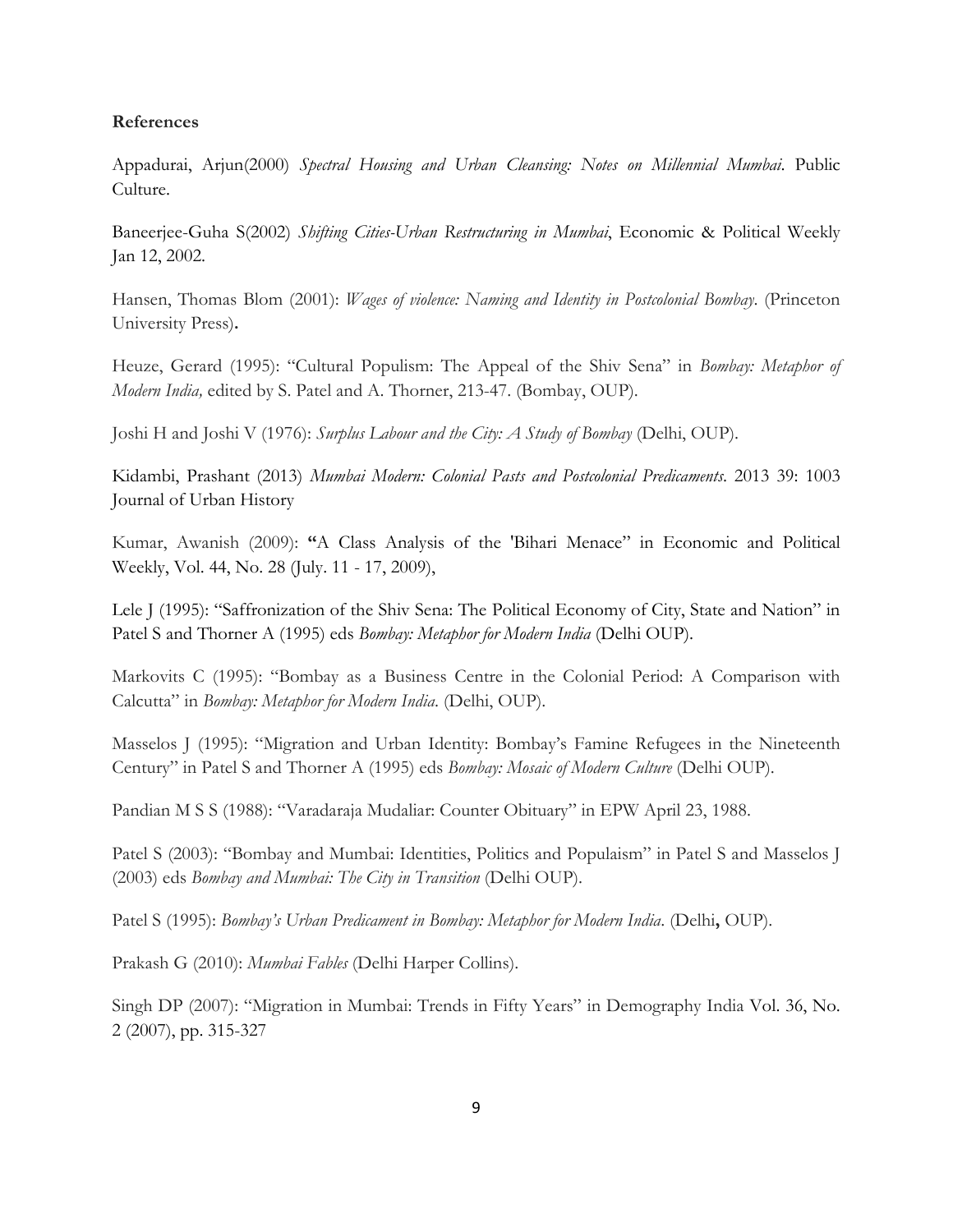## References

Appadurai, Arjun(2000) Spectral Housing and Urban Cleansing: Notes on Millennial Mumbai. Public Culture.

Baneerjee-Guha S(2002) Shifting Cities-Urban Restructuring in Mumbai, Economic & Political Weekly Jan 12, 2002.

Hansen, Thomas Blom (2001): *Wages of violence: Naming and Identity in Postcolonial Bombay*. (Princeton University Press).

Heuze, Gerard (1995): "Cultural Populism: The Appeal of the Shiv Sena" in Bombay: Metaphor of Modern India, edited by S. Patel and A. Thorner, 213-47. (Bombay, OUP).

Joshi H and Joshi V (1976): Surplus Labour and the City: A Study of Bombay (Delhi, OUP).

Kidambi, Prashant (2013) Mumbai Modern: Colonial Pasts and Postcolonial Predicaments. 2013 39: 1003 Journal of Urban History

Kumar, Awanish (2009): "A Class Analysis of the 'Bihari Menace" in Economic and Political Weekly, Vol. 44, No. 28 (July. 11 - 17, 2009),

Lele J (1995): "Saffronization of the Shiv Sena: The Political Economy of City, State and Nation" in Patel S and Thorner A (1995) eds Bombay: Metaphor for Modern India (Delhi OUP).

Markovits C (1995): "Bombay as a Business Centre in the Colonial Period: A Comparison with Calcutta" in Bombay: Metaphor for Modern India. (Delhi, OUP).

Masselos J (1995): "Migration and Urban Identity: Bombay's Famine Refugees in the Nineteenth Century" in Patel S and Thorner A (1995) eds Bombay: Mosaic of Modern Culture (Delhi OUP).

Pandian M S S (1988): "Varadaraja Mudaliar: Counter Obituary" in EPW April 23, 1988.

Patel S (2003): "Bombay and Mumbai: Identities, Politics and Populaism" in Patel S and Masselos J (2003) eds Bombay and Mumbai: The City in Transition (Delhi OUP).

Patel S (1995): Bombay's Urban Predicament in Bombay: Metaphor for Modern India. (Delhi, OUP).

Prakash G (2010): Mumbai Fables (Delhi Harper Collins).

Singh DP (2007): "Migration in Mumbai: Trends in Fifty Years" in Demography India Vol. 36, No. 2 (2007), pp. 315-327